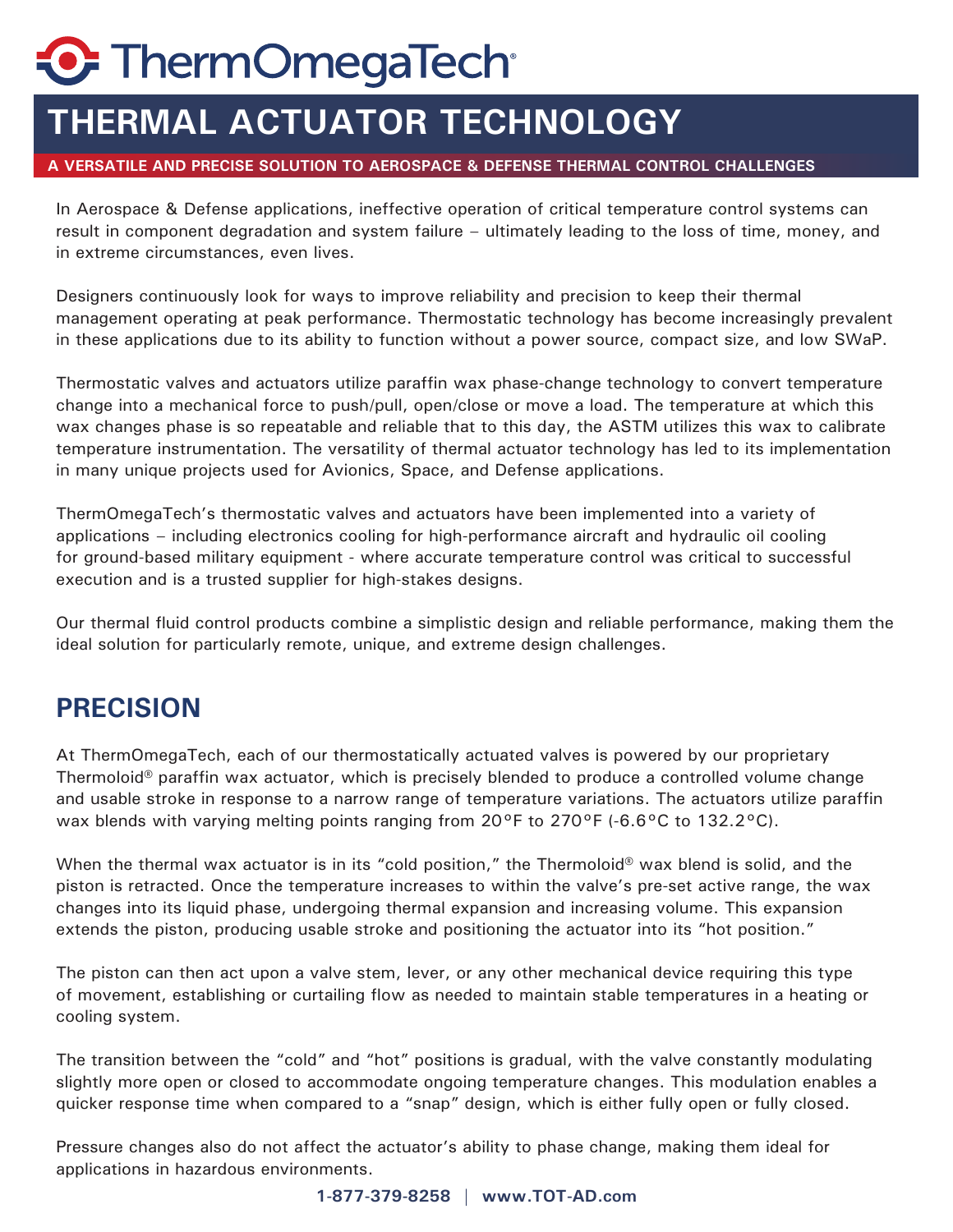# **C** ThermOmegaTech

## **THERMAL ACTUATOR TECHNOLOGY**

#### **A VERSATILE AND PRECISE SOLUTION TO AEROSPACE & DEFENSE THERMAL CONTROL CHALLENGES**

In Aerospace & Defense applications, ineffective operation of critical temperature control systems can result in component degradation and system failure – ultimately leading to the loss of time, money, and in extreme circumstances, even lives.

Designers continuously look for ways to improve reliability and precision to keep their thermal management operating at peak performance. Thermostatic technology has become increasingly prevalent in these applications due to its ability to function without a power source, compact size, and low SWaP.

Thermostatic valves and actuators utilize paraffin wax phase-change technology to convert temperature change into a mechanical force to push/pull, open/close or move a load. The temperature at which this wax changes phase is so repeatable and reliable that to this day, the ASTM utilizes this wax to calibrate temperature instrumentation. The versatility of thermal actuator technology has led to its implementation in many unique projects used for Avionics, Space, and Defense applications.

ThermOmegaTech's thermostatic valves and actuators have been implemented into a variety of applications – including electronics cooling for high-performance aircraft and hydraulic oil cooling for ground-based military equipment - where accurate temperature control was critical to successful execution and is a trusted supplier for high-stakes designs.

Our thermal fluid control products combine a simplistic design and reliable performance, making them the ideal solution for particularly remote, unique, and extreme design challenges.

#### **PRECISION**

At ThermOmegaTech, each of our thermostatically actuated valves is powered by our proprietary Thermoloid® paraffin wax actuator, which is precisely blended to produce a controlled volume change and usable stroke in response to a narrow range of temperature variations. The actuators utilize paraffin wax blends with varying melting points ranging from  $20^{\circ}$ F to  $270^{\circ}$ F (-6.6°C to 132.2°C).

When the thermal wax actuator is in its "cold position," the Thermoloid® wax blend is solid, and the piston is retracted. Once the temperature increases to within the valve's pre-set active range, the wax changes into its liquid phase, undergoing thermal expansion and increasing volume. This expansion extends the piston, producing usable stroke and positioning the actuator into its "hot position."

The piston can then act upon a valve stem, lever, or any other mechanical device requiring this type of movement, establishing or curtailing flow as needed to maintain stable temperatures in a heating or cooling system.

The transition between the "cold" and "hot" positions is gradual, with the valve constantly modulating slightly more open or closed to accommodate ongoing temperature changes. This modulation enables a quicker response time when compared to a "snap" design, which is either fully open or fully closed.

Pressure changes also do not affect the actuator's ability to phase change, making them ideal for applications in hazardous environments.

**1-877-379-8258 | www.TOT-AD.com**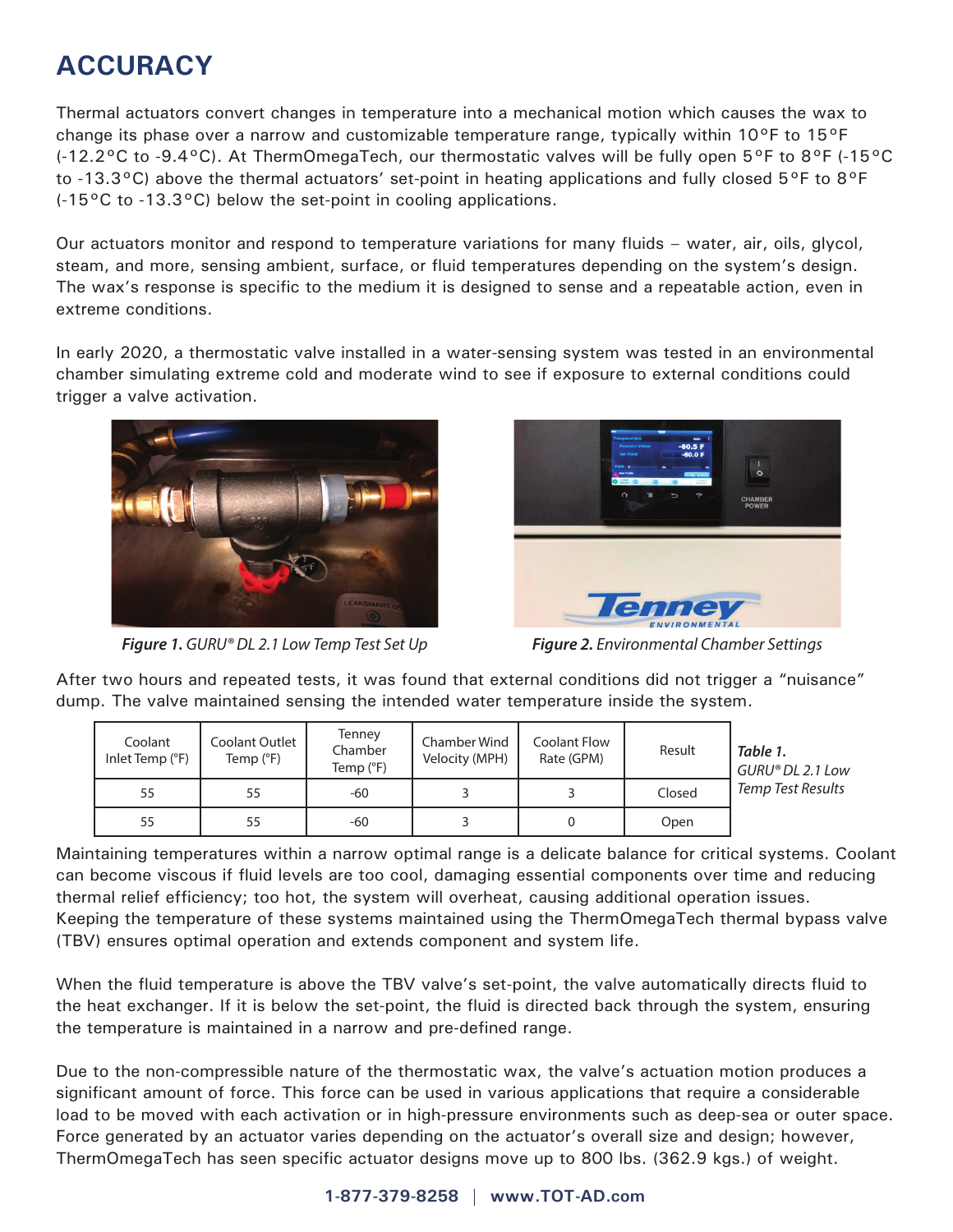### **ACCURACY**

Thermal actuators convert changes in temperature into a mechanical motion which causes the wax to change its phase over a narrow and customizable temperature range, typically within 10 $\degree$ F to 15 $\degree$ F (-12.2°C to -9.4°C). At ThermOmegaTech, our thermostatic valves will be fully open  $5^{\circ}F$  to  $8^{\circ}F$  (-15°C to -13.3°C) above the thermal actuators' set-point in heating applications and fully closed 5°F to 8°F (-15°C to -13.3°C) below the set-point in cooling applications.

Our actuators monitor and respond to temperature variations for many fluids – water, air, oils, glycol, steam, and more, sensing ambient, surface, or fluid temperatures depending on the system's design. The wax's response is specific to the medium it is designed to sense and a repeatable action, even in extreme conditions.

In early 2020, a thermostatic valve installed in a water-sensing system was tested in an environmental chamber simulating extreme cold and moderate wind to see if exposure to external conditions could trigger a valve activation.



*Figure 1. GURU® DL 2.1 Low Temp Test Set Up Figure 2. Environmental Chamber Settings*



After two hours and repeated tests, it was found that external conditions did not trigger a "nuisance" dump. The valve maintained sensing the intended water temperature inside the system.

| Coolant<br>Inlet Temp (°F) | Coolant Outlet<br>Temp (°F) | Tenney<br>Chamber<br>Temp (°F) | Chamber Wind<br>Velocity (MPH) | Coolant Flow<br>Rate (GPM) | Result | Table 1.<br>$GURU^{\circ}$ DL 2.1 Low |
|----------------------------|-----------------------------|--------------------------------|--------------------------------|----------------------------|--------|---------------------------------------|
| 55                         | 55                          | -60                            |                                |                            | Closed | Temp Test Results                     |
| 55                         | 55                          | -60                            |                                |                            | Open   |                                       |

Maintaining temperatures within a narrow optimal range is a delicate balance for critical systems. Coolant can become viscous if fluid levels are too cool, damaging essential components over time and reducing thermal relief efficiency; too hot, the system will overheat, causing additional operation issues. Keeping the temperature of these systems maintained using the ThermOmegaTech thermal bypass valve (TBV) ensures optimal operation and extends component and system life.

When the fluid temperature is above the TBV valve's set-point, the valve automatically directs fluid to the heat exchanger. If it is below the set-point, the fluid is directed back through the system, ensuring the temperature is maintained in a narrow and pre-defined range.

Due to the non-compressible nature of the thermostatic wax, the valve's actuation motion produces a significant amount of force. This force can be used in various applications that require a considerable load to be moved with each activation or in high-pressure environments such as deep-sea or outer space. Force generated by an actuator varies depending on the actuator's overall size and design; however, ThermOmegaTech has seen specific actuator designs move up to 800 lbs. (362.9 kgs.) of weight.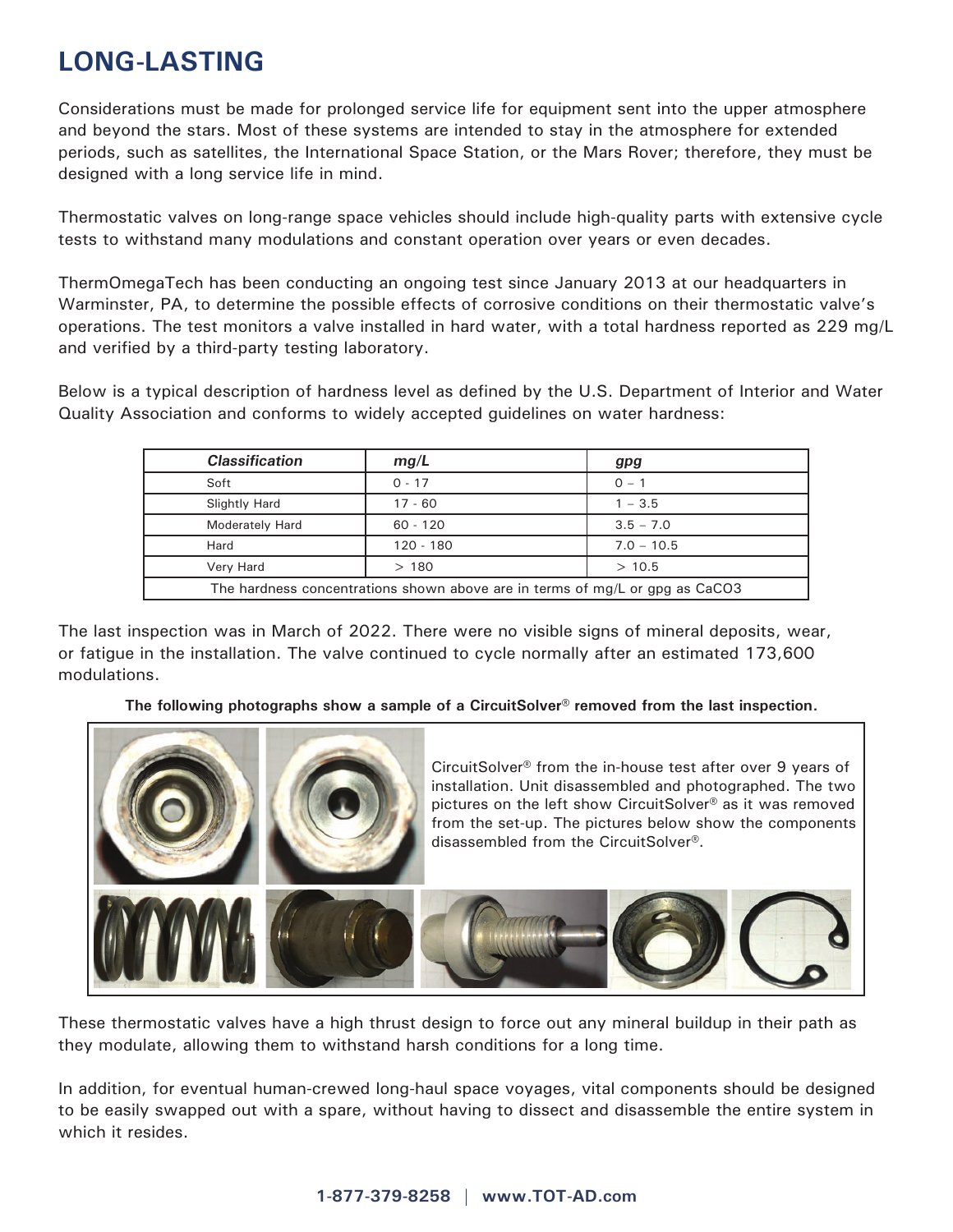### **LONG-LASTING**

Considerations must be made for prolonged service life for equipment sent into the upper atmosphere and beyond the stars. Most of these systems are intended to stay in the atmosphere for extended periods, such as satellites, the International Space Station, or the Mars Rover; therefore, they must be designed with a long service life in mind.

Thermostatic valves on long-range space vehicles should include high-quality parts with extensive cycle tests to withstand many modulations and constant operation over years or even decades.

ThermOmegaTech has been conducting an ongoing test since January 2013 at our headquarters in Warminster, PA, to determine the possible effects of corrosive conditions on their thermostatic valve's operations. The test monitors a valve installed in hard water, with a total hardness reported as 229 mg/L and verified by a third-party testing laboratory.

Below is a typical description of hardness level as defined by the U.S. Department of Interior and Water Quality Association and conforms to widely accepted guidelines on water hardness:

| <b>Classification</b>                                                          | mg/L       | gpg          |  |  |  |
|--------------------------------------------------------------------------------|------------|--------------|--|--|--|
| Soft                                                                           | $0 - 17$   | $0 - 1$      |  |  |  |
| Slightly Hard                                                                  | $17 - 60$  | $1 - 3.5$    |  |  |  |
| <b>Moderately Hard</b>                                                         | $60 - 120$ | $3.5 - 7.0$  |  |  |  |
| Hard                                                                           | 120 - 180  | $7.0 - 10.5$ |  |  |  |
| Very Hard                                                                      | >180       | >10.5        |  |  |  |
| The hardness concentrations shown above are in terms of $mg/L$ or gpg as CaCO3 |            |              |  |  |  |

The last inspection was in March of 2022. There were no visible signs of mineral deposits, wear, or fatigue in the installation. The valve continued to cycle normally after an estimated 173,600 modulations.

**The following photographs show a sample of a CircuitSolver® removed from the last inspection.**



These thermostatic valves have a high thrust design to force out any mineral buildup in their path as they modulate, allowing them to withstand harsh conditions for a long time.

In addition, for eventual human-crewed long-haul space voyages, vital components should be designed to be easily swapped out with a spare, without having to dissect and disassemble the entire system in which it resides.